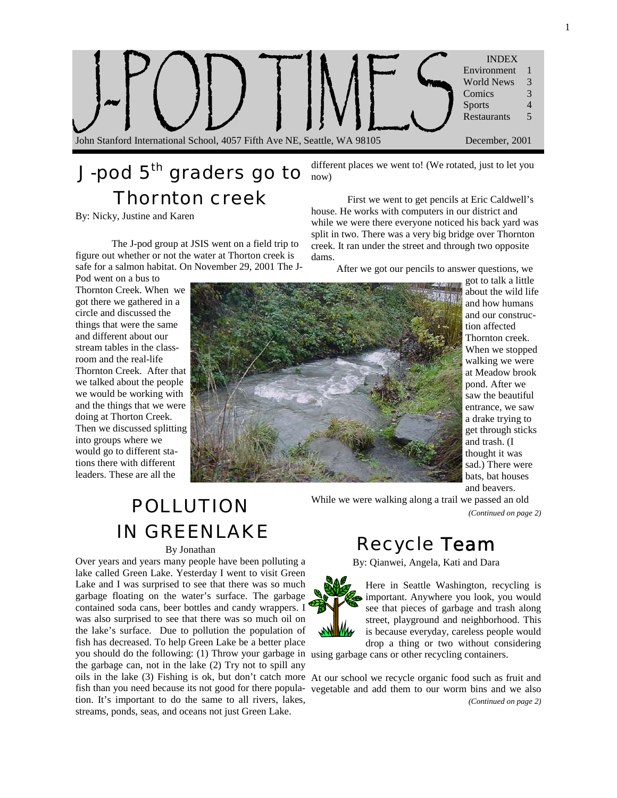

# J-pod 5<sup>th</sup> graders go to Thornton creek

By: Nicky, Justine and Karen

The J-pod group at JSIS went on a field trip to figure out whether or not the water at Thorton creek is safe for a salmon habitat. On November 29, 2001 The J-

Pod went on a bus to Thornton Creek. When we got there we gathered in a circle and discussed the things that were the same and different about our stream tables in the classroom and the real-life Thornton Creek. After that we talked about the people we would be working with and the things that we were doing at Thorton Creek. Then we discussed splitting into groups where we would go to different stations there with different leaders. These are all the



different places we went to! (We rotated, just to let you now)

First we went to get pencils at Eric Caldwell's house. He works with computers in our district and while we were there everyone noticed his back yard was split in two. There was a very big bridge over Thornton creek. It ran under the street and through two opposite dams.

After we got our pencils to answer questions, we

got to talk a little about the wild life and how humans and our construction affected Thornton creek. When we stopped walking we were at Meadow brook pond. After we saw the beautiful entrance, we saw a drake trying to get through sticks and trash. (I thought it was sad.) There were bats, bat houses and beavers.

# **POLLUTION** While we were walking along a trail we passed an old *(Continued on page 2)* IN GREENLAKE

#### By Jonathan

Over years and years many people have been polluting a lake called Green Lake. Yesterday I went to visit Green Lake and I was surprised to see that there was so much garbage floating on the water's surface. The garbage contained soda cans, beer bottles and candy wrappers. I was also surprised to see that there was so much oil on the lake's surface. Due to pollution the population of fish has decreased. To help Green Lake be a better place you should do the following: (1) Throw your garbage in using garbage cans or other recycling containers. the garbage can, not in the lake (2) Try not to spill any oils in the lake (3) Fishing is ok, but don't catch more At our school we recycle organic food such as fruit and fish than you need because its not good for there popula-vegetable and add them to our worm bins and we also tion. It's important to do the same to all rivers, lakes, streams, ponds, seas, and oceans not just Green Lake.

### Recycle Team

By: Qianwei, Angela, Kati and Dara



*(Continued on page 2)*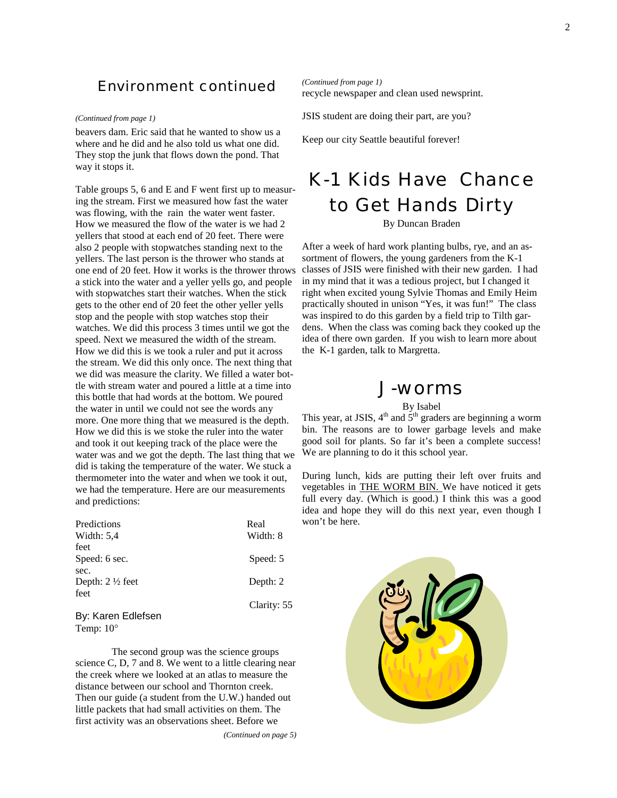#### Environment continued

#### *(Continued from page 1)*

beavers dam. Eric said that he wanted to show us a where and he did and he also told us what one did. They stop the junk that flows down the pond. That way it stops it.

Table groups 5, 6 and E and F went first up to measuring the stream. First we measured how fast the water was flowing, with the rain the water went faster. How we measured the flow of the water is we had 2 yellers that stood at each end of 20 feet. There were also 2 people with stopwatches standing next to the yellers. The last person is the thrower who stands at one end of 20 feet. How it works is the thrower throws a stick into the water and a yeller yells go, and people with stopwatches start their watches. When the stick gets to the other end of 20 feet the other yeller yells stop and the people with stop watches stop their watches. We did this process 3 times until we got the speed. Next we measured the width of the stream. How we did this is we took a ruler and put it across the stream. We did this only once. The next thing that we did was measure the clarity. We filled a water bottle with stream water and poured a little at a time into this bottle that had words at the bottom. We poured the water in until we could not see the words any more. One more thing that we measured is the depth. How we did this is we stoke the ruler into the water and took it out keeping track of the place were the water was and we got the depth. The last thing that we did is taking the temperature of the water. We stuck a thermometer into the water and when we took it out, we had the temperature. Here are our measurements and predictions:

| Predictions<br>Width: $5,4$ | Real<br>Width: 8 |
|-----------------------------|------------------|
| feet                        |                  |
| Speed: 6 sec.               | Speed: 5         |
| sec.                        |                  |
| Depth: $2\frac{1}{2}$ feet  | Depth: 2         |
| feet                        |                  |
|                             | Clarity: 55      |
| By: Karen Edlefsen          |                  |

Temp: 10°

 The second group was the science groups science C, D, 7 and 8. We went to a little clearing near the creek where we looked at an atlas to measure the distance between our school and Thornton creek. Then our guide (a student from the U.W.) handed out little packets that had small activities on them. The first activity was an observations sheet. Before we

*(Continued on page 5)* 

recycle newspaper and clean used newsprint. *(Continued from page 1)* 

JSIS student are doing their part, are you?

Keep our city Seattle beautiful forever!

# K-1 Kids Have Chance to Get Hands Dirty

#### By Duncan Braden

After a week of hard work planting bulbs, rye, and an assortment of flowers, the young gardeners from the K-1 classes of JSIS were finished with their new garden. I had in my mind that it was a tedious project, but I changed it right when excited young Sylvie Thomas and Emily Heim practically shouted in unison "Yes, it was fun!" The class was inspired to do this garden by a field trip to Tilth gardens. When the class was coming back they cooked up the idea of there own garden. If you wish to learn more about the K-1 garden, talk to Margretta.

### J-worms

By Isabel

This year, at JSIS,  $4<sup>th</sup>$  and  $5<sup>th</sup>$  graders are beginning a worm bin. The reasons are to lower garbage levels and make good soil for plants. So far it's been a complete success! We are planning to do it this school year.

During lunch, kids are putting their left over fruits and vegetables in THE WORM BIN. We have noticed it gets full every day. (Which is good.) I think this was a good idea and hope they will do this next year, even though I won't be here.

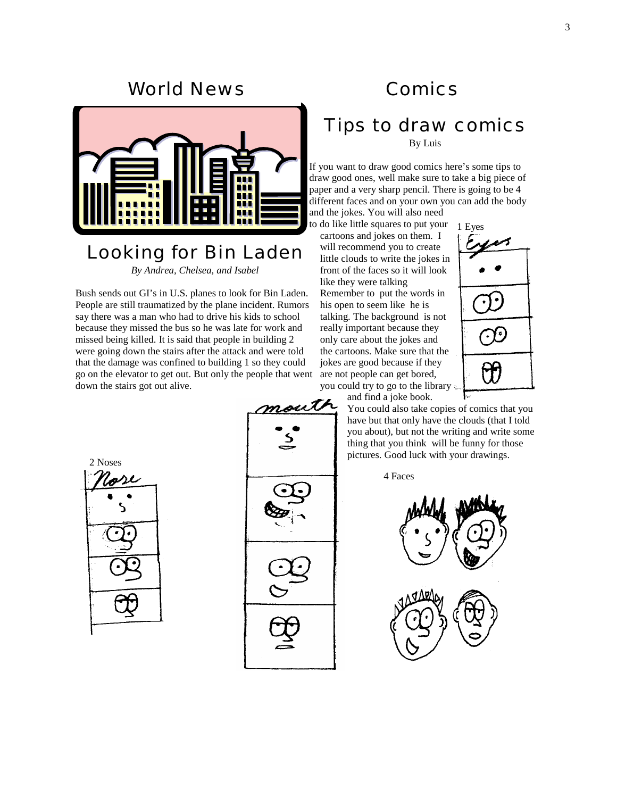### World News



## Looking for Bin Laden

*By Andrea, Chelsea, and Isabel* 

Bush sends out GI's in U.S. planes to look for Bin Laden. People are still traumatized by the plane incident. Rumors say there was a man who had to drive his kids to school because they missed the bus so he was late for work and missed being killed. It is said that people in building 2 were going down the stairs after the attack and were told that the damage was confined to building 1 so they could go on the elevator to get out. But only the people that went down the stairs got out alive.

## **Comics**

## Tips to draw comics

By Luis

If you want to draw good comics here's some tips to draw good ones, well make sure to take a big piece of paper and a very sharp pencil. There is going to be 4 different faces and on your own you can add the body and the jokes. You will also need

to do like little squares to put your 1 Eyes cartoons and jokes on them. I

will recommend you to create little clouds to write the jokes in front of the faces so it will look like they were talking

Remember to put the words in his open to seem like he is talking. The background is not really important because they only care about the jokes and the cartoons. Make sure that the jokes are good because if they are not people can get bored, you could try to go to the library

and find a joke book.

You could also take copies of comics that you have but that only have the clouds (that I told you about), but not the writing and write some thing that you think will be funny for those pictures. Good luck with your drawings.

4 Faces







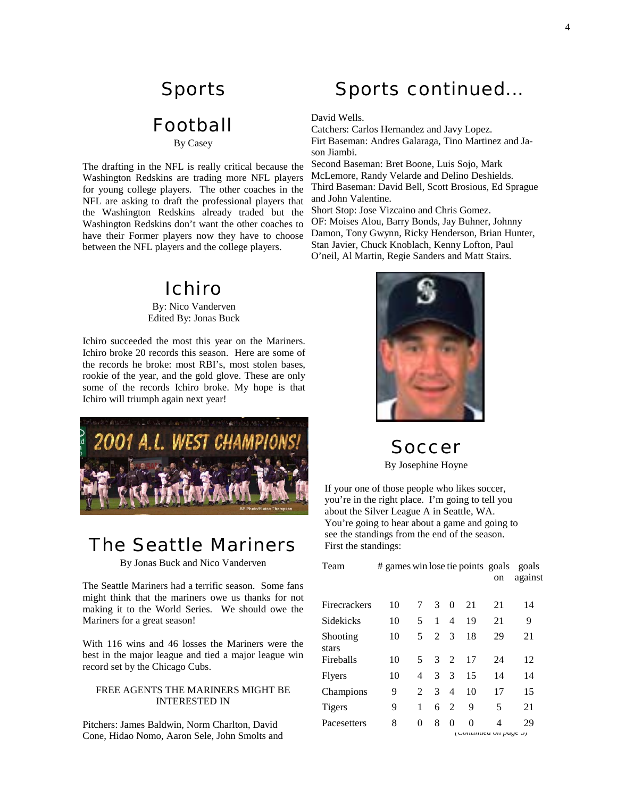## Sports

## Football

#### By Casey

The drafting in the NFL is really critical because the Washington Redskins are trading more NFL players for young college players. The other coaches in the NFL are asking to draft the professional players that the Washington Redskins already traded but the Washington Redskins don't want the other coaches to have their Former players now they have to choose between the NFL players and the college players.

### Ichiro

By: Nico Vanderven Edited By: Jonas Buck

Ichiro succeeded the most this year on the Mariners. Ichiro broke 20 records this season. Here are some of the records he broke: most RBI's, most stolen bases, rookie of the year, and the gold glove. These are only some of the records Ichiro broke. My hope is that Ichiro will triumph again next year!



## The Seattle Mariners

By Jonas Buck and Nico Vanderven

The Seattle Mariners had a terrific season. Some fans might think that the mariners owe us thanks for not making it to the World Series. We should owe the Mariners for a great season!

With 116 wins and 46 losses the Mariners were the best in the major league and tied a major league win record set by the Chicago Cubs.

#### FREE AGENTS THE MARINERS MIGHT BE INTERESTED IN

Pitchers: James Baldwin, Norm Charlton, David Cone, Hidao Nomo, Aaron Sele, John Smolts and

## Sports continued...

David Wells.

Catchers: Carlos Hernandez and Javy Lopez. Firt Baseman: Andres Galaraga, Tino Martinez and Jason Jiambi.

Second Baseman: Bret Boone, Luis Sojo, Mark McLemore, Randy Velarde and Delino Deshields. Third Baseman: David Bell, Scott Brosious, Ed Sprague and John Valentine.

Short Stop: Jose Vizcaino and Chris Gomez. OF: Moises Alou, Barry Bonds, Jay Buhner, Johnny Damon, Tony Gwynn, Ricky Henderson, Brian Hunter, Stan Javier, Chuck Knoblach, Kenny Lofton, Paul O'neil, Al Martin, Regie Sanders and Matt Stairs.



Soccer

By Josephine Hoyne

If your one of those people who likes soccer, you're in the right place. I'm going to tell you about the Silver League A in Seattle, WA. You're going to hear about a game and going to see the standings from the end of the season. First the standings:

| Team              | # games win lose tie points goals |                             |                |                |    |    | goals   |  |
|-------------------|-----------------------------------|-----------------------------|----------------|----------------|----|----|---------|--|
|                   |                                   |                             |                |                |    | on | against |  |
| Firecrackers      | 10                                | 7                           | 3              | $\theta$       | 21 | 21 | 14      |  |
| Sidekicks         | 10                                | 5.                          | $\mathbf{1}$   | $\overline{4}$ | 19 | 21 | 9       |  |
| Shooting<br>stars | 10                                | 5                           | 2 <sup>3</sup> |                | 18 | 29 | 21      |  |
| Fireballs         | 10                                | 5                           |                | 3 <sub>2</sub> | 17 | 24 | 12      |  |
| <b>Flyers</b>     | 10                                | 4                           | $\mathcal{E}$  | 3              | 15 | 14 | 14      |  |
| Champions         | 9                                 | $\mathcal{D}_{\mathcal{L}}$ | 3              | $\overline{4}$ | 10 | 17 | 15      |  |
| <b>Tigers</b>     | 9                                 | 1                           | 6              | $\mathfrak{D}$ | 9  | 5  | 21      |  |
| Pacesetters       | 8                                 | 0                           | 8              | 0              | 0  | 4  | 29      |  |
|                   |                                   | (Communea on page 5)        |                |                |    |    |         |  |